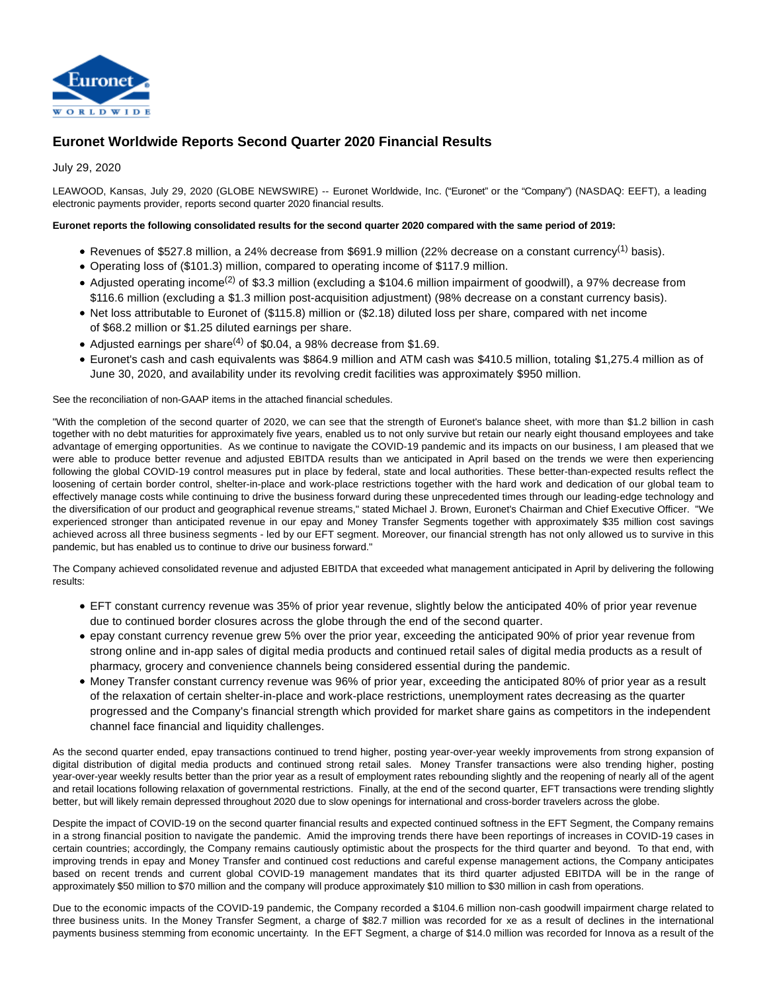

# **Euronet Worldwide Reports Second Quarter 2020 Financial Results**

July 29, 2020

LEAWOOD, Kansas, July 29, 2020 (GLOBE NEWSWIRE) -- Euronet Worldwide, Inc. ("Euronet" or the "Company") (NASDAQ: EEFT), a leading electronic payments provider, reports second quarter 2020 financial results.

## **Euronet reports the following consolidated results for the second quarter 2020 compared with the same period of 2019:**

- Revenues of \$527.8 million, a 24% decrease from \$691.9 million (22% decrease on a constant currency(1) basis).
- Operating loss of (\$101.3) million, compared to operating income of \$117.9 million.
- Adjusted operating income<sup>(2)</sup> of \$3.3 million (excluding a \$104.6 million impairment of goodwill), a 97% decrease from \$116.6 million (excluding a \$1.3 million post-acquisition adjustment) (98% decrease on a constant currency basis).
- Net loss attributable to Euronet of (\$115.8) million or (\$2.18) diluted loss per share, compared with net income of \$68.2 million or \$1.25 diluted earnings per share.
- Adjusted earnings per share<sup>(4)</sup> of \$0.04, a 98% decrease from \$1.69.
- Euronet's cash and cash equivalents was \$864.9 million and ATM cash was \$410.5 million, totaling \$1,275.4 million as of June 30, 2020, and availability under its revolving credit facilities was approximately \$950 million.

See the reconciliation of non-GAAP items in the attached financial schedules.

"With the completion of the second quarter of 2020, we can see that the strength of Euronet's balance sheet, with more than \$1.2 billion in cash together with no debt maturities for approximately five years, enabled us to not only survive but retain our nearly eight thousand employees and take advantage of emerging opportunities. As we continue to navigate the COVID-19 pandemic and its impacts on our business, I am pleased that we were able to produce better revenue and adjusted EBITDA results than we anticipated in April based on the trends we were then experiencing following the global COVID-19 control measures put in place by federal, state and local authorities. These better-than-expected results reflect the loosening of certain border control, shelter-in-place and work-place restrictions together with the hard work and dedication of our global team to effectively manage costs while continuing to drive the business forward during these unprecedented times through our leading-edge technology and the diversification of our product and geographical revenue streams," stated Michael J. Brown, Euronet's Chairman and Chief Executive Officer. "We experienced stronger than anticipated revenue in our epay and Money Transfer Segments together with approximately \$35 million cost savings achieved across all three business segments - led by our EFT segment. Moreover, our financial strength has not only allowed us to survive in this pandemic, but has enabled us to continue to drive our business forward."

The Company achieved consolidated revenue and adjusted EBITDA that exceeded what management anticipated in April by delivering the following results:

- EFT constant currency revenue was 35% of prior year revenue, slightly below the anticipated 40% of prior year revenue due to continued border closures across the globe through the end of the second quarter.
- epay constant currency revenue grew 5% over the prior year, exceeding the anticipated 90% of prior year revenue from strong online and in-app sales of digital media products and continued retail sales of digital media products as a result of pharmacy, grocery and convenience channels being considered essential during the pandemic.
- Money Transfer constant currency revenue was 96% of prior year, exceeding the anticipated 80% of prior year as a result of the relaxation of certain shelter-in-place and work-place restrictions, unemployment rates decreasing as the quarter progressed and the Company's financial strength which provided for market share gains as competitors in the independent channel face financial and liquidity challenges.

As the second quarter ended, epay transactions continued to trend higher, posting year-over-year weekly improvements from strong expansion of digital distribution of digital media products and continued strong retail sales. Money Transfer transactions were also trending higher, posting year-over-year weekly results better than the prior year as a result of employment rates rebounding slightly and the reopening of nearly all of the agent and retail locations following relaxation of governmental restrictions. Finally, at the end of the second quarter, EFT transactions were trending slightly better, but will likely remain depressed throughout 2020 due to slow openings for international and cross-border travelers across the globe.

Despite the impact of COVID-19 on the second quarter financial results and expected continued softness in the EFT Segment, the Company remains in a strong financial position to navigate the pandemic. Amid the improving trends there have been reportings of increases in COVID-19 cases in certain countries; accordingly, the Company remains cautiously optimistic about the prospects for the third quarter and beyond. To that end, with improving trends in epay and Money Transfer and continued cost reductions and careful expense management actions, the Company anticipates based on recent trends and current global COVID-19 management mandates that its third quarter adjusted EBITDA will be in the range of approximately \$50 million to \$70 million and the company will produce approximately \$10 million to \$30 million in cash from operations.

Due to the economic impacts of the COVID-19 pandemic, the Company recorded a \$104.6 million non-cash goodwill impairment charge related to three business units. In the Money Transfer Segment, a charge of \$82.7 million was recorded for xe as a result of declines in the international payments business stemming from economic uncertainty. In the EFT Segment, a charge of \$14.0 million was recorded for Innova as a result of the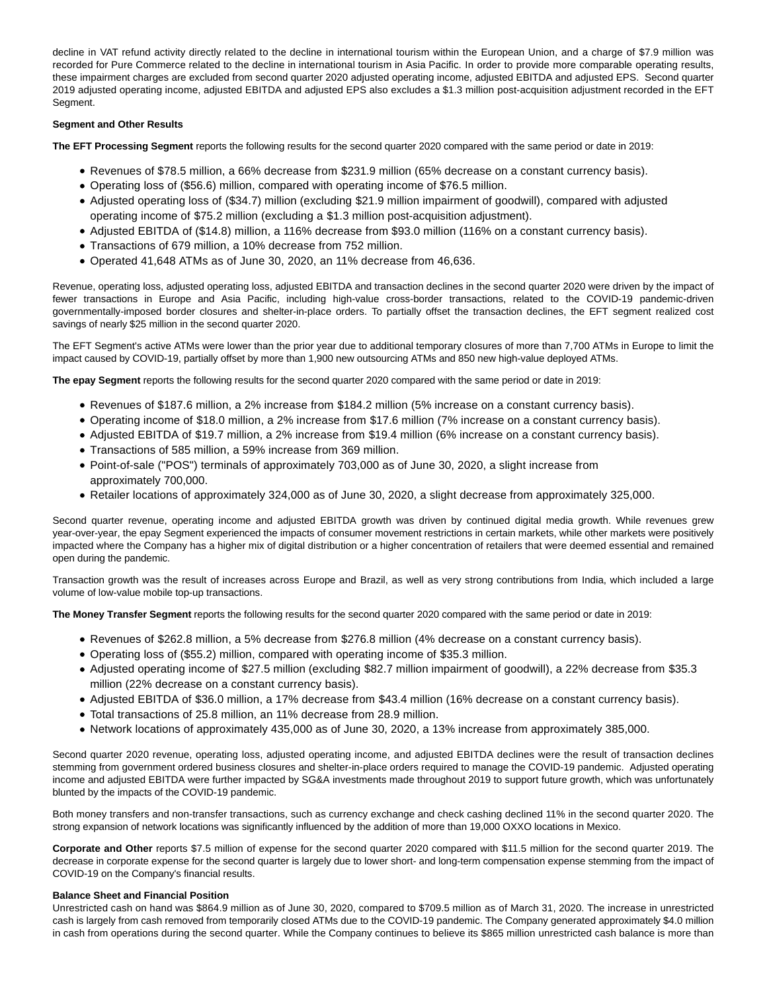decline in VAT refund activity directly related to the decline in international tourism within the European Union, and a charge of \$7.9 million was recorded for Pure Commerce related to the decline in international tourism in Asia Pacific. In order to provide more comparable operating results, these impairment charges are excluded from second quarter 2020 adjusted operating income, adjusted EBITDA and adjusted EPS. Second quarter 2019 adjusted operating income, adjusted EBITDA and adjusted EPS also excludes a \$1.3 million post-acquisition adjustment recorded in the EFT Segment.

## **Segment and Other Results**

**The EFT Processing Segment** reports the following results for the second quarter 2020 compared with the same period or date in 2019:

- Revenues of \$78.5 million, a 66% decrease from \$231.9 million (65% decrease on a constant currency basis).
- Operating loss of (\$56.6) million, compared with operating income of \$76.5 million.
- Adjusted operating loss of (\$34.7) million (excluding \$21.9 million impairment of goodwill), compared with adjusted operating income of \$75.2 million (excluding a \$1.3 million post-acquisition adjustment).
- Adjusted EBITDA of (\$14.8) million, a 116% decrease from \$93.0 million (116% on a constant currency basis).
- Transactions of 679 million, a 10% decrease from 752 million.
- Operated 41,648 ATMs as of June 30, 2020, an 11% decrease from 46,636.

Revenue, operating loss, adjusted operating loss, adjusted EBITDA and transaction declines in the second quarter 2020 were driven by the impact of fewer transactions in Europe and Asia Pacific, including high-value cross-border transactions, related to the COVID-19 pandemic-driven governmentally-imposed border closures and shelter-in-place orders. To partially offset the transaction declines, the EFT segment realized cost savings of nearly \$25 million in the second quarter 2020.

The EFT Segment's active ATMs were lower than the prior year due to additional temporary closures of more than 7,700 ATMs in Europe to limit the impact caused by COVID-19, partially offset by more than 1,900 new outsourcing ATMs and 850 new high-value deployed ATMs.

**The epay Segment** reports the following results for the second quarter 2020 compared with the same period or date in 2019:

- Revenues of \$187.6 million, a 2% increase from \$184.2 million (5% increase on a constant currency basis).
- Operating income of \$18.0 million, a 2% increase from \$17.6 million (7% increase on a constant currency basis).
- Adjusted EBITDA of \$19.7 million, a 2% increase from \$19.4 million (6% increase on a constant currency basis).
- Transactions of 585 million, a 59% increase from 369 million.
- Point-of-sale ("POS") terminals of approximately 703,000 as of June 30, 2020, a slight increase from approximately 700,000.
- Retailer locations of approximately 324,000 as of June 30, 2020, a slight decrease from approximately 325,000.

Second quarter revenue, operating income and adjusted EBITDA growth was driven by continued digital media growth. While revenues grew year-over-year, the epay Segment experienced the impacts of consumer movement restrictions in certain markets, while other markets were positively impacted where the Company has a higher mix of digital distribution or a higher concentration of retailers that were deemed essential and remained open during the pandemic.

Transaction growth was the result of increases across Europe and Brazil, as well as very strong contributions from India, which included a large volume of low-value mobile top-up transactions.

**The Money Transfer Segment** reports the following results for the second quarter 2020 compared with the same period or date in 2019:

- Revenues of \$262.8 million, a 5% decrease from \$276.8 million (4% decrease on a constant currency basis).
- Operating loss of (\$55.2) million, compared with operating income of \$35.3 million.
- Adjusted operating income of \$27.5 million (excluding \$82.7 million impairment of goodwill), a 22% decrease from \$35.3 million (22% decrease on a constant currency basis).
- Adjusted EBITDA of \$36.0 million, a 17% decrease from \$43.4 million (16% decrease on a constant currency basis).
- Total transactions of 25.8 million, an 11% decrease from 28.9 million.
- Network locations of approximately 435,000 as of June 30, 2020, a 13% increase from approximately 385,000.

Second quarter 2020 revenue, operating loss, adjusted operating income, and adjusted EBITDA declines were the result of transaction declines stemming from government ordered business closures and shelter-in-place orders required to manage the COVID-19 pandemic. Adjusted operating income and adjusted EBITDA were further impacted by SG&A investments made throughout 2019 to support future growth, which was unfortunately blunted by the impacts of the COVID-19 pandemic.

Both money transfers and non-transfer transactions, such as currency exchange and check cashing declined 11% in the second quarter 2020. The strong expansion of network locations was significantly influenced by the addition of more than 19,000 OXXO locations in Mexico.

**Corporate and Other** reports \$7.5 million of expense for the second quarter 2020 compared with \$11.5 million for the second quarter 2019. The decrease in corporate expense for the second quarter is largely due to lower short- and long-term compensation expense stemming from the impact of COVID-19 on the Company's financial results.

### **Balance Sheet and Financial Position**

Unrestricted cash on hand was \$864.9 million as of June 30, 2020, compared to \$709.5 million as of March 31, 2020. The increase in unrestricted cash is largely from cash removed from temporarily closed ATMs due to the COVID-19 pandemic. The Company generated approximately \$4.0 million in cash from operations during the second quarter. While the Company continues to believe its \$865 million unrestricted cash balance is more than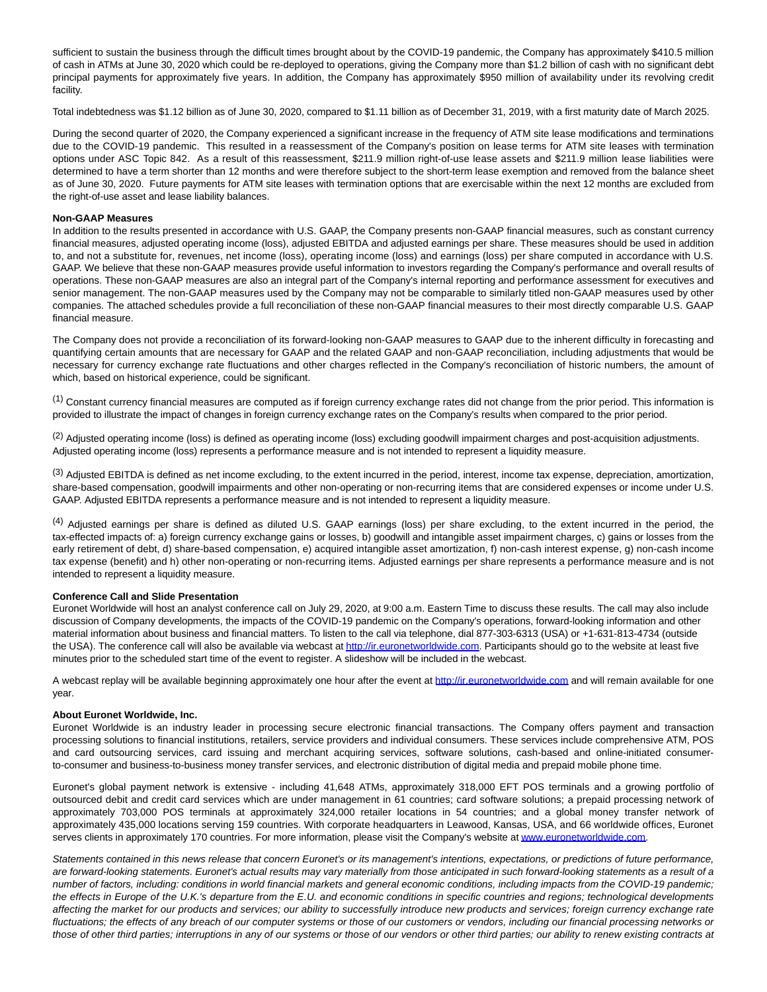sufficient to sustain the business through the difficult times brought about by the COVID-19 pandemic, the Company has approximately \$410.5 million of cash in ATMs at June 30, 2020 which could be re-deployed to operations, giving the Company more than \$1.2 billion of cash with no significant debt principal payments for approximately five years. In addition, the Company has approximately \$950 million of availability under its revolving credit facility.

Total indebtedness was \$1.12 billion as of June 30, 2020, compared to \$1.11 billion as of December 31, 2019, with a first maturity date of March 2025.

During the second quarter of 2020, the Company experienced a significant increase in the frequency of ATM site lease modifications and terminations due to the COVID-19 pandemic. This resulted in a reassessment of the Company's position on lease terms for ATM site leases with termination options under ASC Topic 842. As a result of this reassessment, \$211.9 million right-of-use lease assets and \$211.9 million lease liabilities were determined to have a term shorter than 12 months and were therefore subject to the short-term lease exemption and removed from the balance sheet as of June 30, 2020. Future payments for ATM site leases with termination options that are exercisable within the next 12 months are excluded from the right-of-use asset and lease liability balances.

#### **Non-GAAP Measures**

In addition to the results presented in accordance with U.S. GAAP, the Company presents non-GAAP financial measures, such as constant currency financial measures, adjusted operating income (loss), adjusted EBITDA and adjusted earnings per share. These measures should be used in addition to, and not a substitute for, revenues, net income (loss), operating income (loss) and earnings (loss) per share computed in accordance with U.S. GAAP. We believe that these non-GAAP measures provide useful information to investors regarding the Company's performance and overall results of operations. These non-GAAP measures are also an integral part of the Company's internal reporting and performance assessment for executives and senior management. The non-GAAP measures used by the Company may not be comparable to similarly titled non-GAAP measures used by other companies. The attached schedules provide a full reconciliation of these non-GAAP financial measures to their most directly comparable U.S. GAAP financial measure.

The Company does not provide a reconciliation of its forward-looking non-GAAP measures to GAAP due to the inherent difficulty in forecasting and quantifying certain amounts that are necessary for GAAP and the related GAAP and non-GAAP reconciliation, including adjustments that would be necessary for currency exchange rate fluctuations and other charges reflected in the Company's reconciliation of historic numbers, the amount of which, based on historical experience, could be significant.

 $<sup>(1)</sup>$  Constant currency financial measures are computed as if foreign currency exchange rates did not change from the prior period. This information is</sup> provided to illustrate the impact of changes in foreign currency exchange rates on the Company's results when compared to the prior period.

<sup>(2)</sup> Adjusted operating income (loss) is defined as operating income (loss) excluding goodwill impairment charges and post-acquisition adjustments. Adjusted operating income (loss) represents a performance measure and is not intended to represent a liquidity measure.

<sup>(3)</sup> Adjusted EBITDA is defined as net income excluding, to the extent incurred in the period, interest, income tax expense, depreciation, amortization, share-based compensation, goodwill impairments and other non-operating or non-recurring items that are considered expenses or income under U.S. GAAP. Adjusted EBITDA represents a performance measure and is not intended to represent a liquidity measure.

<sup>(4)</sup> Adjusted earnings per share is defined as diluted U.S. GAAP earnings (loss) per share excluding, to the extent incurred in the period, the tax-effected impacts of: a) foreign currency exchange gains or losses, b) goodwill and intangible asset impairment charges, c) gains or losses from the early retirement of debt, d) share-based compensation, e) acquired intangible asset amortization, f) non-cash interest expense, g) non-cash income tax expense (benefit) and h) other non-operating or non-recurring items. Adjusted earnings per share represents a performance measure and is not intended to represent a liquidity measure.

### **Conference Call and Slide Presentation**

Euronet Worldwide will host an analyst conference call on July 29, 2020, at 9:00 a.m. Eastern Time to discuss these results. The call may also include discussion of Company developments, the impacts of the COVID-19 pandemic on the Company's operations, forward-looking information and other material information about business and financial matters. To listen to the call via telephone, dial 877-303-6313 (USA) or +1-631-813-4734 (outside the USA). The conference call will also be available via webcast a[t http://ir.euronetworldwide.com.](https://www.globenewswire.com/Tracker?data=_sB_p9ALKOjrHP6eeES2EIE9cbX4-_g1dZGq4SLQMOSgNm_e8GtsBn-hfxLCPvx7CtRCOhNiUA4Ypb6EGFqr2HX1erCLZ0KPbPz-NIBrHQeLWR_Q1451JpvxlcgQi0YD) Participants should go to the website at least five minutes prior to the scheduled start time of the event to register. A slideshow will be included in the webcast.

A webcast replay will be available beginning approximately one hour after the event at [http://ir.euronetworldwide.com a](https://www.globenewswire.com/Tracker?data=_sB_p9ALKOjrHP6eeES2EIE9cbX4-_g1dZGq4SLQMOS6LlD7lbtmsZbPsE1XhyKuLMBdbi9PgE7M6n9tkz75N5kHwt4J8UoEx8szEyeoyo15_SkoS-gV7axL9mkHtFf9)nd will remain available for one year.

#### **About Euronet Worldwide, Inc.**

Euronet Worldwide is an industry leader in processing secure electronic financial transactions. The Company offers payment and transaction processing solutions to financial institutions, retailers, service providers and individual consumers. These services include comprehensive ATM, POS and card outsourcing services, card issuing and merchant acquiring services, software solutions, cash-based and online-initiated consumerto-consumer and business-to-business money transfer services, and electronic distribution of digital media and prepaid mobile phone time.

Euronet's global payment network is extensive - including 41,648 ATMs, approximately 318,000 EFT POS terminals and a growing portfolio of outsourced debit and credit card services which are under management in 61 countries; card software solutions; a prepaid processing network of approximately 703,000 POS terminals at approximately 324,000 retailer locations in 54 countries; and a global money transfer network of approximately 435,000 locations serving 159 countries. With corporate headquarters in Leawood, Kansas, USA, and 66 worldwide offices, Euronet serves clients in approximately 170 countries. For more information, please visit the Company's website a[t www.euronetworldwide.com.](https://www.globenewswire.com/Tracker?data=eSM4o4kMF7yotitIdhOUr0QX3Bkd8UPMAPuEJ8pyR2TVWkszWSlAw4tSqgvPIYThQ1alAeTyn5O3aqQjYDkG-vXwDnNf2tCgniOLBCsvtqM=)

Statements contained in this news release that concern Euronet's or its management's intentions, expectations, or predictions of future performance, are forward-looking statements. Euronet's actual results may vary materially from those anticipated in such forward-looking statements as a result of a number of factors, including: conditions in world financial markets and general economic conditions, including impacts from the COVID-19 pandemic; the effects in Europe of the U.K.'s departure from the E.U. and economic conditions in specific countries and regions; technological developments affecting the market for our products and services; our ability to successfully introduce new products and services; foreign currency exchange rate fluctuations; the effects of any breach of our computer systems or those of our customers or vendors, including our financial processing networks or those of other third parties; interruptions in any of our systems or those of our vendors or other third parties; our ability to renew existing contracts at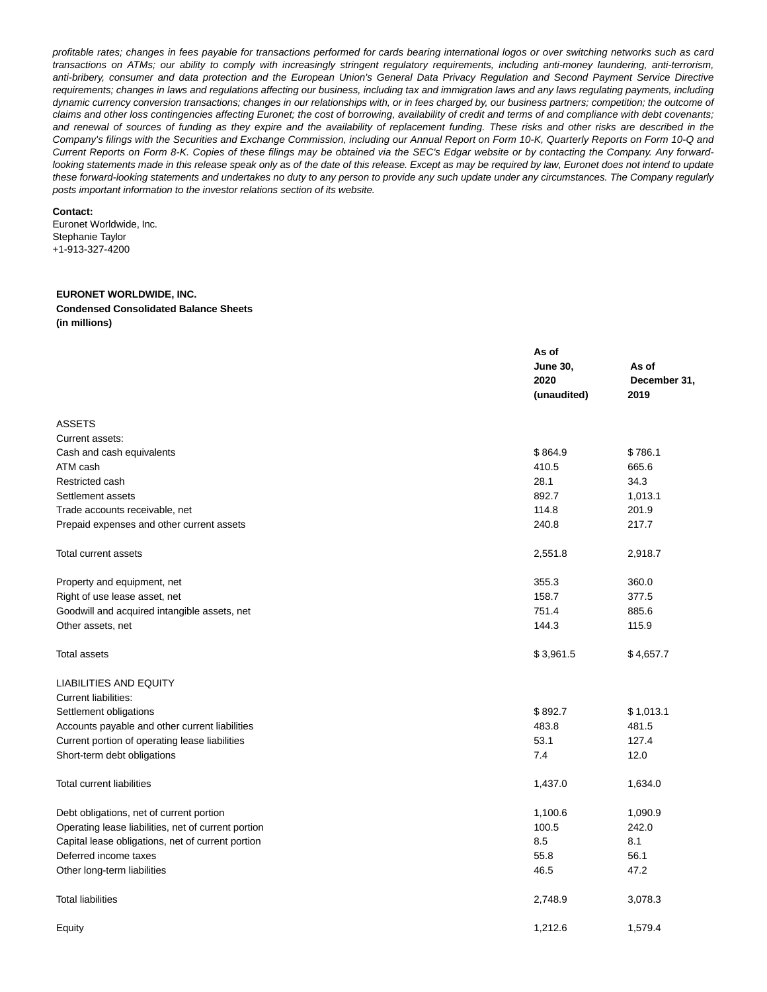profitable rates; changes in fees payable for transactions performed for cards bearing international logos or over switching networks such as card transactions on ATMs; our ability to comply with increasingly stringent regulatory requirements, including anti-money laundering, anti-terrorism, anti-bribery, consumer and data protection and the European Union's General Data Privacy Regulation and Second Payment Service Directive requirements; changes in laws and regulations affecting our business, including tax and immigration laws and any laws regulating payments, including dynamic currency conversion transactions; changes in our relationships with, or in fees charged by, our business partners; competition; the outcome of claims and other loss contingencies affecting Euronet; the cost of borrowing, availability of credit and terms of and compliance with debt covenants; and renewal of sources of funding as they expire and the availability of replacement funding. These risks and other risks are described in the Company's filings with the Securities and Exchange Commission, including our Annual Report on Form 10-K, Quarterly Reports on Form 10-Q and Current Reports on Form 8-K. Copies of these filings may be obtained via the SEC's Edgar website or by contacting the Company. Any forwardlooking statements made in this release speak only as of the date of this release. Except as may be required by law, Euronet does not intend to update these forward-looking statements and undertakes no duty to any person to provide any such update under any circumstances. The Company regularly posts important information to the investor relations section of its website.

#### **Contact:**

Euronet Worldwide, Inc. Stephanie Taylor +1-913-327-4200

#### **EURONET WORLDWIDE, INC.**

## **Condensed Consolidated Balance Sheets**

 **(in millions)**

|                                                     | As of<br><b>June 30,</b><br>2020<br>(unaudited) | As of<br>December 31,<br>2019 |
|-----------------------------------------------------|-------------------------------------------------|-------------------------------|
| <b>ASSETS</b>                                       |                                                 |                               |
| Current assets:                                     |                                                 |                               |
| Cash and cash equivalents                           | \$864.9                                         | \$786.1                       |
| ATM cash                                            | 410.5                                           | 665.6                         |
| Restricted cash                                     | 28.1                                            | 34.3                          |
| Settlement assets                                   | 892.7                                           | 1,013.1                       |
| Trade accounts receivable, net                      | 114.8                                           | 201.9                         |
| Prepaid expenses and other current assets           | 240.8                                           | 217.7                         |
| Total current assets                                | 2,551.8                                         | 2,918.7                       |
| Property and equipment, net                         | 355.3                                           | 360.0                         |
| Right of use lease asset, net                       | 158.7                                           | 377.5                         |
| Goodwill and acquired intangible assets, net        | 751.4                                           | 885.6                         |
| Other assets, net                                   | 144.3                                           | 115.9                         |
| <b>Total assets</b>                                 | \$3,961.5                                       | \$4,657.7                     |
| <b>LIABILITIES AND EQUITY</b>                       |                                                 |                               |
| <b>Current liabilities:</b>                         |                                                 |                               |
| Settlement obligations                              | \$892.7                                         | \$1,013.1                     |
| Accounts payable and other current liabilities      | 483.8                                           | 481.5                         |
| Current portion of operating lease liabilities      | 53.1                                            | 127.4                         |
| Short-term debt obligations                         | 7.4                                             | 12.0                          |
| <b>Total current liabilities</b>                    | 1,437.0                                         | 1,634.0                       |
| Debt obligations, net of current portion            | 1,100.6                                         | 1,090.9                       |
| Operating lease liabilities, net of current portion | 100.5                                           | 242.0                         |
| Capital lease obligations, net of current portion   | 8.5                                             | 8.1                           |
| Deferred income taxes                               | 55.8                                            | 56.1                          |
| Other long-term liabilities                         | 46.5                                            | 47.2                          |
| <b>Total liabilities</b>                            | 2,748.9                                         | 3,078.3                       |
| Equity                                              | 1,212.6                                         | 1,579.4                       |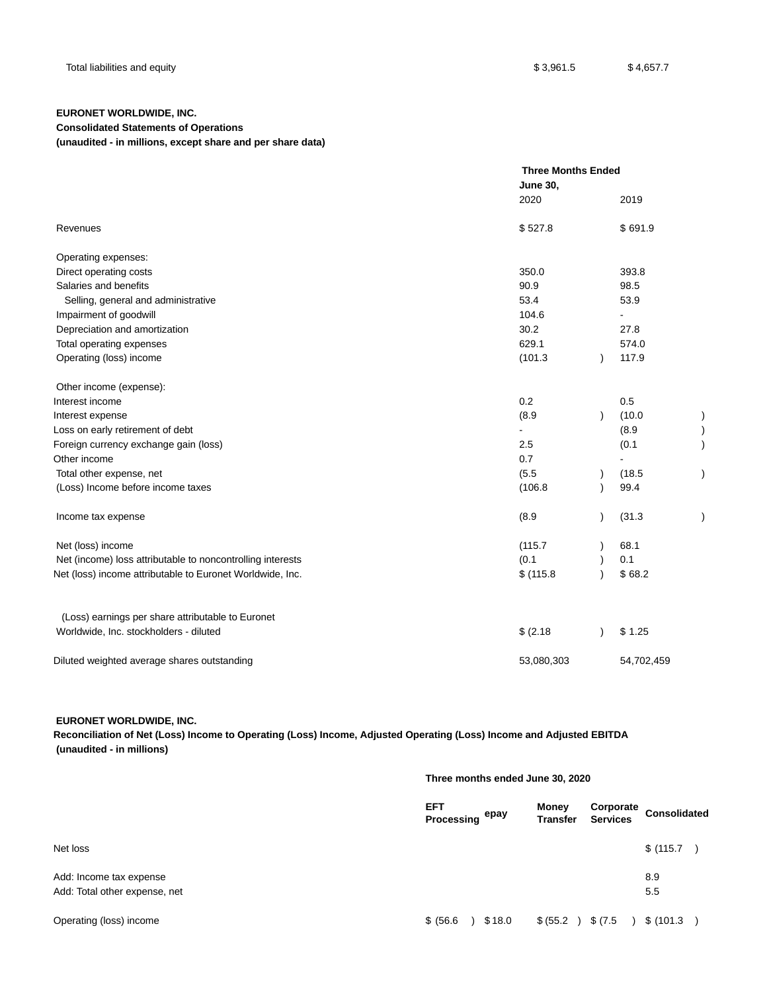## **EURONET WORLDWIDE, INC.**

 **Consolidated Statements of Operations**

## **(unaudited - in millions, except share and per share data)**

|                                                            |                 | <b>Three Months Ended</b> |                |  |  |
|------------------------------------------------------------|-----------------|---------------------------|----------------|--|--|
|                                                            | <b>June 30,</b> |                           |                |  |  |
|                                                            | 2020            |                           | 2019           |  |  |
| Revenues                                                   | \$527.8         |                           | \$691.9        |  |  |
| Operating expenses:                                        |                 |                           |                |  |  |
| Direct operating costs                                     | 350.0           |                           | 393.8          |  |  |
| Salaries and benefits                                      | 90.9            |                           | 98.5           |  |  |
| Selling, general and administrative                        | 53.4            |                           | 53.9           |  |  |
| Impairment of goodwill                                     | 104.6           |                           | $\overline{a}$ |  |  |
| Depreciation and amortization                              | 30.2            |                           | 27.8           |  |  |
| Total operating expenses                                   | 629.1           |                           | 574.0          |  |  |
| Operating (loss) income                                    | (101.3)         |                           | 117.9          |  |  |
| Other income (expense):                                    |                 |                           |                |  |  |
| Interest income                                            | 0.2             |                           | 0.5            |  |  |
| Interest expense                                           | (8.9)           |                           | (10.0)         |  |  |
| Loss on early retirement of debt                           | ۰               |                           | (8.9)          |  |  |
| Foreign currency exchange gain (loss)                      | 2.5             |                           | (0.1)          |  |  |
| Other income                                               | 0.7             |                           |                |  |  |
| Total other expense, net                                   | (5.5)           |                           | (18.5)         |  |  |
| (Loss) Income before income taxes                          | (106.8)         |                           | 99.4           |  |  |
| Income tax expense                                         | (8.9)           |                           | (31.3)         |  |  |
| Net (loss) income                                          | (115.7)         |                           | 68.1           |  |  |
| Net (income) loss attributable to noncontrolling interests | (0.1)           |                           | 0.1            |  |  |
| Net (loss) income attributable to Euronet Worldwide, Inc.  | \$(115.8)       |                           | \$68.2         |  |  |
| (Loss) earnings per share attributable to Euronet          |                 |                           |                |  |  |
| Worldwide, Inc. stockholders - diluted                     | \$ (2.18)       |                           | \$1.25         |  |  |
|                                                            |                 |                           |                |  |  |
| Diluted weighted average shares outstanding                | 53,080,303      |                           | 54,702,459     |  |  |

#### **EURONET WORLDWIDE, INC.**

**Reconciliation of Net (Loss) Income to Operating (Loss) Income, Adjusted Operating (Loss) Income and Adjusted EBITDA (unaudited - in millions)**

|                                                          | Three months ended June 30, 2020  |        |                          |                              |              |
|----------------------------------------------------------|-----------------------------------|--------|--------------------------|------------------------------|--------------|
|                                                          | EFT<br>Processing <sup>epay</sup> |        | Money<br><b>Transfer</b> | Corporate<br><b>Services</b> | Consolidated |
| Net loss                                                 |                                   |        |                          |                              | \$(115.7)    |
| Add: Income tax expense<br>Add: Total other expense, net |                                   |        |                          |                              | 8.9<br>5.5   |
| Operating (loss) income                                  | \$ (56.6)                         | \$18.0 | \$ (55.2)                | $\frac{1}{5}$ (7.5)          | \$(101.3)    |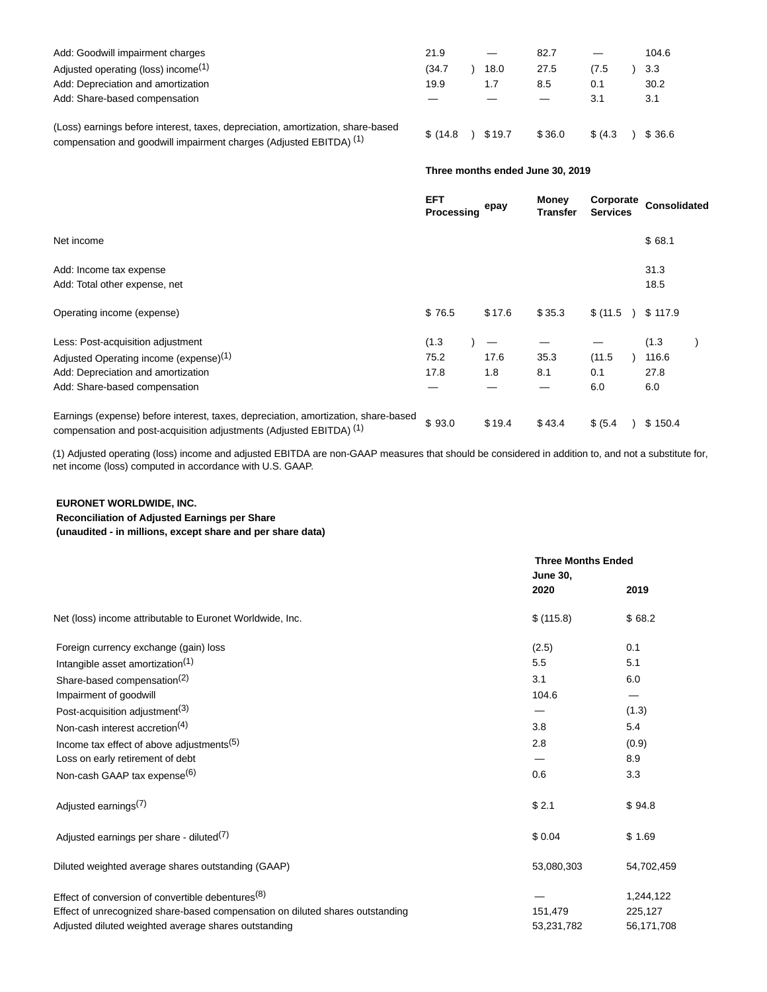| Add: Goodwill impairment charges                                                | 21.9            |       | 82.7  |                     | 104.6 |
|---------------------------------------------------------------------------------|-----------------|-------|-------|---------------------|-------|
| Adjusted operating (loss) income <sup>(1)</sup>                                 | (34.7           | 18.0  | 27.5  | (7.5                | 3.3   |
| Add: Depreciation and amortization                                              | 19.9            |       | 8.5   | 0.1                 | 30.2  |
| Add: Share-based compensation                                                   |                 |       |       | 3.1                 | 3.1   |
|                                                                                 |                 |       |       |                     |       |
| (Loss) earnings before interest, taxes, depreciation, amortization, share-based | $^{\circ}$ (110 | 0.407 | 0.200 | $\mathbb{C}$ $(12)$ | 0.200 |

compensation and goodwill impairment charges (Adjusted EBITDA)  $^{(1)}$  \$ (14.8 ) \$ 19.7 \$ 36.0 \$ (4.3 ) \$ 36.6

## **Three months ended June 30, 2019**

|                                                                                                                                                           | <b>EFT</b><br>Processing | epay   | Money<br><b>Transfer</b> | Corporate<br><b>Services</b> | <b>Consolidated</b> |
|-----------------------------------------------------------------------------------------------------------------------------------------------------------|--------------------------|--------|--------------------------|------------------------------|---------------------|
| Net income                                                                                                                                                |                          |        |                          |                              | \$68.1              |
| Add: Income tax expense                                                                                                                                   |                          |        |                          |                              | 31.3                |
| Add: Total other expense, net                                                                                                                             |                          |        |                          |                              | 18.5                |
| Operating income (expense)                                                                                                                                | \$76.5                   | \$17.6 | \$35.3                   | \$(11.5)                     | \$117.9             |
| Less: Post-acquisition adjustment                                                                                                                         | (1.3)                    | -      |                          |                              | (1.3)               |
| Adjusted Operating income (expense) <sup>(1)</sup>                                                                                                        | 75.2                     | 17.6   | 35.3                     | (11.5)                       | 116.6               |
| Add: Depreciation and amortization                                                                                                                        | 17.8                     | 1.8    | 8.1                      | 0.1                          | 27.8                |
| Add: Share-based compensation                                                                                                                             |                          |        |                          | 6.0                          | 6.0                 |
| Earnings (expense) before interest, taxes, depreciation, amortization, share-based<br>compensation and post-acquisition adjustments (Adjusted EBITDA) (1) | \$93.0                   | \$19.4 | \$43.4                   | \$ (5.4)                     | \$150.4             |

(1) Adjusted operating (loss) income and adjusted EBITDA are non-GAAP measures that should be considered in addition to, and not a substitute for, net income (loss) computed in accordance with U.S. GAAP.

## **EURONET WORLDWIDE, INC.**

 **Reconciliation of Adjusted Earnings per Share**

## **(unaudited - in millions, except share and per share data)**

|                                                                               | <b>Three Months Ended</b><br><b>June 30,</b> |            |  |
|-------------------------------------------------------------------------------|----------------------------------------------|------------|--|
|                                                                               | 2020                                         | 2019       |  |
| Net (loss) income attributable to Euronet Worldwide, Inc.                     | \$(115.8)                                    | \$68.2     |  |
| Foreign currency exchange (gain) loss                                         | (2.5)                                        | 0.1        |  |
| Intangible asset amortization <sup>(1)</sup>                                  | 5.5                                          | 5.1        |  |
| Share-based compensation <sup>(2)</sup>                                       | 3.1                                          | 6.0        |  |
| Impairment of goodwill                                                        | 104.6                                        |            |  |
| Post-acquisition adjustment <sup>(3)</sup>                                    |                                              | (1.3)      |  |
| Non-cash interest accretion <sup>(4)</sup>                                    | 3.8                                          | 5.4        |  |
| Income tax effect of above adjustments <sup>(5)</sup>                         | 2.8                                          | (0.9)      |  |
| Loss on early retirement of debt                                              |                                              | 8.9        |  |
| Non-cash GAAP tax expense <sup>(6)</sup>                                      | 0.6                                          | 3.3        |  |
| Adjusted earnings <sup>(7)</sup>                                              | \$2.1                                        | \$94.8     |  |
| Adjusted earnings per share - diluted $(7)$                                   | \$0.04                                       | \$1.69     |  |
| Diluted weighted average shares outstanding (GAAP)                            | 53,080,303                                   | 54,702,459 |  |
| Effect of conversion of convertible debentures <sup>(8)</sup>                 |                                              | 1,244,122  |  |
| Effect of unrecognized share-based compensation on diluted shares outstanding | 151,479                                      | 225,127    |  |
| Adjusted diluted weighted average shares outstanding                          | 53,231,782                                   | 56,171,708 |  |